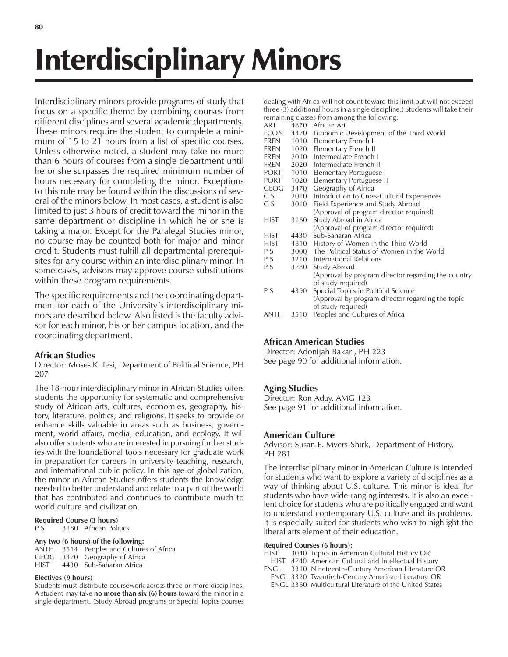# Interdisciplinary Minors

Interdisciplinary minors provide programs of study that focus on a specific theme by combining courses from different disciplines and several academic departments. These minors require the student to complete a minimum of 15 to 21 hours from a list of specific courses. Unless otherwise noted, a student may take no more than 6 hours of courses from a single department until he or she surpasses the required minimum number of hours necessary for completing the minor. Exceptions to this rule may be found within the discussions of several of the minors below. In most cases, a student is also limited to just 3 hours of credit toward the minor in the same department or discipline in which he or she is taking a major. Except for the Paralegal Studies minor, no course may be counted both for major and minor credit. Students must fulfill all departmental prerequisites for any course within an interdisciplinary minor. In some cases, advisors may approve course substitutions within these program requirements.

The specific requirements and the coordinating department for each of the University's interdisciplinary minors are described below. Also listed is the faculty advisor for each minor, his or her campus location, and the coordinating department.

# **African Studies**

Director: Moses K. Tesi, Department of Political Science, PH 207

The 18-hour interdisciplinary minor in African Studies offers students the opportunity for systematic and comprehensive study of African arts, cultures, economies, geography, history, literature, politics, and religions. It seeks to provide or enhance skills valuable in areas such as business, government, world affairs, media, education, and ecology. It will also offer students who are interested in pursuing further studies with the foundational tools necessary for graduate work in preparation for careers in university teaching, research, and international public policy. In this age of globalization, the minor in African Studies offers students the knowledge needed to better understand and relate to a part of the world that has contributed and continues to contribute much to world culture and civilization.

# **Required Course (3 hours)**<br>P S 3180 African Poli

3180 African Politics

# **Any two (6 hours) of the following:**

ANTH 3514 Peoples and Cultures of Africa GEOG 3470 Geography of Africa HIST 4430 Sub-Saharan Africa

# **Electives (9 hours)**

Students must distribute coursework across three or more disciplines. A student may take **no more than six (6) hours** toward the minor in a single department. (Study Abroad programs or Special Topics courses dealing with Africa will not count toward this limit but will not exceed three (3) additional hours in a single discipline.) Students will take their remaining classes from among the following:

|                                                   |       | $\frac{1}{2}$                                                       |
|---------------------------------------------------|-------|---------------------------------------------------------------------|
| ART                                               |       | 4870 African Art                                                    |
| ECON                                              |       | 4470 Economic Development of the Third World                        |
| FREN                                              | 1010  | Elementary French I                                                 |
| FREN                                              | 1020  | Elementary French II                                                |
| FREN                                              | 2010  | Intermediate French I                                               |
| FREN                                              | 2020  | Intermediate French II                                              |
| <b>PORT</b>                                       | 1010  | Elementary Portuguese I                                             |
| PORT                                              | 1020  | Elementary Portuguese II                                            |
| GEOG                                              | 3470  | Geography of Africa                                                 |
| G S                                               | 2010  | Introduction to Cross-Cultural Experiences                          |
| G S                                               | 3010  | Field Experience and Study Abroad                                   |
|                                                   |       | (Approval of program director required)                             |
| <b>HIST</b>                                       | 3160  | Study Abroad in Africa                                              |
|                                                   |       | (Approval of program director required)                             |
| HIST                                              | 4430  | Sub-Saharan Africa                                                  |
| <b>HIST</b>                                       | 4810  | History of Women in the Third World                                 |
| P S                                               |       | 3000 The Political Status of Women in the World                     |
| P S                                               |       | 3210 International Relations                                        |
| P S                                               | 3780  | Study Abroad                                                        |
|                                                   |       | (Approval by program director regarding the country                 |
|                                                   |       | of study required)                                                  |
| P S                                               | 4390  | Special Topics in Political Science                                 |
|                                                   |       | (Approval by program director regarding the topic                   |
|                                                   |       | of study required)                                                  |
| $\lambda$ $\lambda$ $\lambda$ $\lambda$ $\lambda$ | 2.540 | $\mathsf{R}$ is the line of $\mathsf{R}$ is the set of $\mathsf{R}$ |

ANTH 3510 Peoples and Cultures of Africa

# **African American Studies**

Director: Adonijah Bakari, PH 223 See page 90 for additional information.

# **Aging Studies**

Director: Ron Aday, AMG 123 See page 91 for additional information.

# **American Culture**

Advisor: Susan E. Myers-Shirk, Department of History, PH 281

The interdisciplinary minor in American Culture is intended for students who want to explore a variety of disciplines as a way of thinking about U.S. culture. This minor is ideal for students who have wide-ranging interests. It is also an excellent choice for students who are politically engaged and want to understand contemporary U.S. culture and its problems. It is especially suited for students who wish to highlight the liberal arts element of their education.

# **Required Courses (6 hours):**

- HIST 3040 Topics in American Cultural History OR
- HIST 4740 American Cultural and Intellectual History
- 3310 Nineteenth-Century American Literature OR
- ENGL 3320 Twentieth-Century American Literature OR
- ENGL 3360 Multicultural Literature of the United States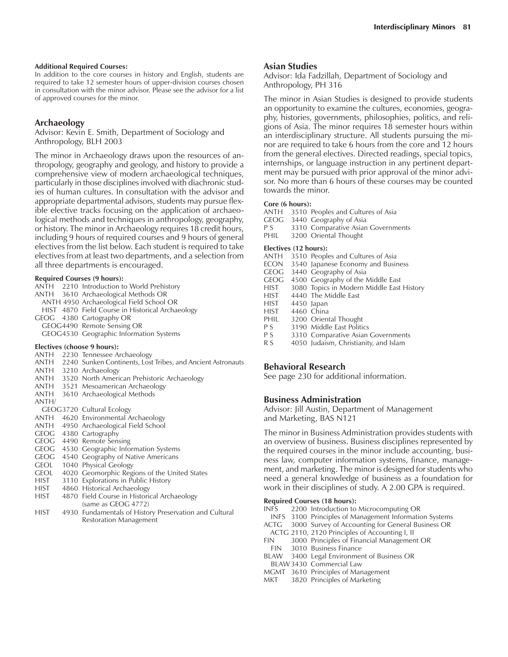#### **Additional Required Courses:**

In addition to the core courses in history and English, students are required to take 12 semester hours of upper-division courses chosen in consultation with the minor advisor. Please see the advisor for a list of approved courses for the minor.

# **Archaeology**

Advisor: Kevin E. Smith, Department of Sociology and Anthropology, BLH 2003

The minor in Archaeology draws upon the resources of anthropology, geography and geology, and history to provide a comprehensive view of modern archaeological techniques, particularly in those disciplines involved with diachronic studies of human cultures. In consultation with the advisor and appropriate departmental advisors, students may pursue flexible elective tracks focusing on the application of archaeological methods and techniques in anthropology, geography, or history. The minor in Archaeology requires 18 credit hours, including 9 hours of required courses and 9 hours of general electives from the list below. Each student is required to take electives from at least two departments, and a selection from all three departments is encouraged.

#### **Required Courses (9 hours):**

|       | ANTH 2210 Introduction to World Prehistory                       |
|-------|------------------------------------------------------------------|
|       | ANTH 3610 Archaeological Methods OR                              |
|       | ANTH 4950 Archaeological Field School OR                         |
|       | HIST 4870 Field Course in Historical Archaeology                 |
|       | GEOG 4380 Cartography OR                                         |
|       | GEOG4490 Remote Sensing OR                                       |
|       | GEOG4530 Geographic Information Systems                          |
|       | Electives (choose 9 hours):                                      |
|       | ANTH 2230 Tennessee Archaeology                                  |
|       | ANTH 2240 Sunken Continents, Lost Tribes, and Ancient Astronauts |
|       | ANTH 3210 Archaeology                                            |
| ANTH  | 3520 North American Prehistoric Archaeology                      |
| ANTH  | 3521 Mesoamerican Archaeology                                    |
| ANTH  | 3610 Archaeological Methods                                      |
| ANTH/ |                                                                  |
|       | GEOG3720 Cultural Ecology                                        |

- 
- ANTH 4620 Environmental Archaeology
- ANTH 4950 Archaeological Field School
- GEOG 4380 Cartography
- GEOG 4490 Remote Sensing
- GEOG 4530 Geographic Information Systems
- GEOG 4540 Geography of Native Americans
- GEOL 1040 Physical Geology
- GEOL 4020 Geomorphic Regions of the United States<br>HIST 3110 Explorations in Public History
- 3110 Explorations in Public History
- HIST 4860 Historical Archaeology
- HIST 4870 Field Course in Historical Archaeology (same as GEOG 4772)
- HIST 4930 Fundamentals of History Preservation and Cultural Restoration Management

#### **Asian Studies**

Advisor: Ida Fadzillah, Department of Sociology and Anthropology, PH 316

The minor in Asian Studies is designed to provide students an opportunity to examine the cultures, economies, geography, histories, governments, philosophies, politics, and religions of Asia. The minor requires 18 semester hours within an interdisciplinary structure. All students pursuing the minor are required to take 6 hours from the core and 12 hours from the general electives. Directed readings, special topics, internships, or language instruction in any pertinent department may be pursued with prior approval of the minor advisor. No more than 6 hours of these courses may be counted towards the minor.

# **Core (6 hours):**

- ANTH 3510 Peoples and Cultures of Asia<br>GEOG 3440 Geography of Asia
- 3440 Geography of Asia
- P S 3310 Comparative Asian Governments<br>PHIL 3200 Oriental Thought
- 3200 Oriental Thought

#### **Electives (12 hours):**

- ANTH 3510 Peoples and Cultures of Asia
- ECON 3540 Japanese Economy and Business
- GEOG 3440 Geography of Asia
- GEOG 4500 Geography of the Middle East<br>HIST 3080 Topics in Modern Middle East
- 3080 Topics in Modern Middle East History
- HIST 4440 The Middle East
- HIST 4450 Japan<br>HIST 4460 China
- 4460 China
- PHIL 3200 Oriental Thought<br>P S 3190 Middle East Politic
- P S 3190 Middle East Politics<br>P S 3310 Comparative Asian
- 3310 Comparative Asian Governments
- R S 4050 Judaism, Christianity, and Islam

# **Behavioral Research**

See page 230 for additional information.

# **Business Administration**

Advisor: Jill Austin, Department of Management and Marketing, BAS N121

The minor in Business Administration provides students with an overview of business. Business disciplines represented by the required courses in the minor include accounting, business law, computer information systems, finance, management, and marketing. The minor is designed for students who need a general knowledge of business as a foundation for work in their disciplines of study. A 2.00 GPA is required.

#### **Required Courses (18 hours):**

|             | INFS 2200 Introduction to Microcomputing OR            |
|-------------|--------------------------------------------------------|
|             | INFS 3100 Principles of Management Information Systems |
| <b>ACTG</b> | 3000 Survey of Accounting for General Business OR      |
|             | ACTG 2110, 2120 Principles of Accounting I, II         |
| FIN 1       | 3000 Principles of Financial Management OR             |
|             | FIN 3010 Business Finance                              |
|             | BLAW 3400 Legal Environment of Business OR             |
|             | BLAW 3430 Commercial Law                               |
|             | MGMT 3610 Principles of Management                     |
| MKT         | 3820 Principles of Marketing                           |
|             |                                                        |
|             |                                                        |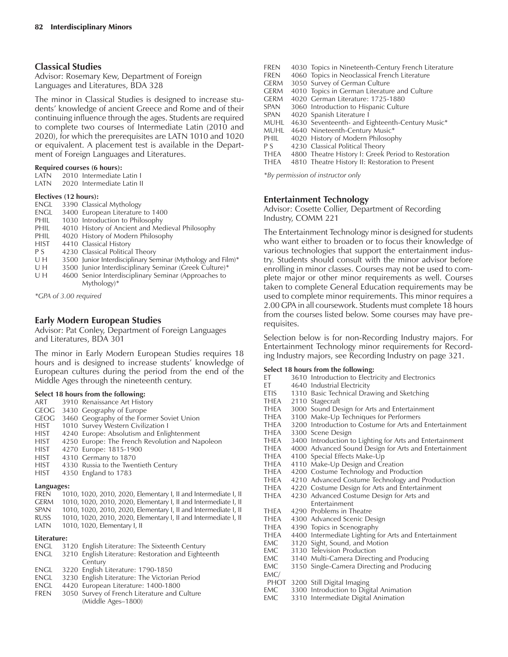# **Classical Studies**

Advisor: Rosemary Kew, Department of Foreign Languages and Literatures, BDA 328

The minor in Classical Studies is designed to increase students' knowledge of ancient Greece and Rome and of their continuing influence through the ages. Students are required to complete two courses of Intermediate Latin (2010 and 2020), for which the prerequisites are LATN 1010 and 1020 or equivalent. A placement test is available in the Department of Foreign Languages and Literatures.

#### **Required courses (6 hours):**

LATN 2010 Intermediate Latin I

LATN 2020 Intermediate Latin II

#### **Electives (12 hours):**

| <b>ENGL</b> | 3390 Classical Mythology                                    |
|-------------|-------------------------------------------------------------|
| <b>ENGL</b> | 3400 European Literature to 1400                            |
| PHIL        | 1030 Introduction to Philosophy                             |
| PHIL        | 4010 History of Ancient and Medieval Philosophy             |
| PHIL        | 4020 History of Modern Philosophy                           |
| <b>HIST</b> | 4410 Classical History                                      |
| P S         | 4230 Classical Political Theory                             |
| UH          | 3500 Junior Interdisciplinary Seminar (Mythology and Film)* |
| UH          | 3500 Junior Interdisciplinary Seminar (Greek Culture)*      |
| U H         | 4600 Senior Interdisciplinary Seminar (Approaches to        |
|             | $Mvthology)*$                                               |
|             |                                                             |

*\*GPA of 3.00 required*

# **Early Modern European Studies**

Advisor: Pat Conley, Department of Foreign Languages and Literatures, BDA 301

The minor in Early Modern European Studies requires 18 hours and is designed to increase students' knowledge of European cultures during the period from the end of the Middle Ages through the nineteenth century.

#### **Select 18 hours from the following:**

- ART 3910 Renaissance Art History
- GEOG 3430 Geography of Europe
- GEOG 3460 Geography of the Former Soviet Union
- HIST 1010 Survey Western Civilization I
- HIST 4240 Europe: Absolutism and Enlightenment
- HIST 4250 Europe: The French Revolution and Napoleon<br>HIST 4270 Europe: 1815-1900
- 4270 Europe: 1815-1900
- HIST 4310 Germany to 1870
- HIST 4330 Russia to the Twentieth Century<br>HIST 4350 England to 1783 4350 England to 1783

# **Languages:**

| .     |                                                                 |
|-------|-----------------------------------------------------------------|
| FREN  | 1010, 1020, 2010, 2020, Elementary I, II and Intermediate I, II |
| germ  | 1010, 1020, 2010, 2020, Elementary I, II and Intermediate I, II |
| CDANI | 1010 1030 2010 2020 Flompeton: Used Intermediate U              |

- SPAN 1010, 1020, 2010, 2020, Elementary I, II and Intermediate I, II
- RUSS 1010, 1020, 2010, 2020, Elementary I, II and Intermediate I, II<br>LATN 1010, 1020, Elementary I, II 1010, 1020, Elementary I, II

# **Literature:**

- ENGL 3120 English Literature: The Sixteenth Century
- ENGL 3210 English Literature: Restoration and Eighteenth **Century**
- ENGL 3220 English Literature: 1790-1850
- ENGL 3230 English Literature: The Victorian Period
- ENGL 4420 European Literature: 1400-1800
- FREN 3050 Survey of French Literature and Culture (Middle Ages-1800)

| <b>FREN</b> | 4030 Topics in Nineteenth-Century French Literature |
|-------------|-----------------------------------------------------|
| <b>FREN</b> | 4060 Topics in Neoclassical French Literature       |
| <b>GERM</b> | 3050 Survey of German Culture                       |
| <b>GERM</b> | 4010 Topics in German Literature and Culture        |
| <b>GERM</b> | 4020 German Literature: 1725-1880                   |
| <b>SPAN</b> | 3060 Introduction to Hispanic Culture               |
| SPAN        | 4020 Spanish Literature I                           |
| MUHL        | 4630 Seventeenth- and Eighteenth-Century Music*     |
| MUHL        | 4640 Nineteenth-Century Music*                      |
| PHIL        | 4020 History of Modern Philosophy                   |
| P S         | 4230 Classical Political Theory                     |
| THEA        | 4800 Theatre History I: Greek Period to Restoration |
| <b>THEA</b> | 4810 Theatre History II: Restoration to Present     |
|             |                                                     |

*\*By permission of instructor only*

# **Entertainment Technology**

Advisor: Cosette Collier, Department of Recording Industry, COMM 221

The Entertainment Technology minor is designed for students who want either to broaden or to focus their knowledge of various technologies that support the entertainment industry. Students should consult with the minor advisor before enrolling in minor classes. Courses may not be used to complete major or other minor requirements as well. Courses taken to complete General Education requirements may be used to complete minor requirements. This minor requires a 2.00 GPA in all coursework. Students must complete 18 hours from the courses listed below. Some courses may have prerequisites.

Selection below is for non-Recording Industry majors. For Entertainment Technology minor requirements for Recording Industry majors, see Recording Industry on page 321.

# **Select 18 hours from the following:**

| ET.         | 3610 Introduction to Electricity and Electronics         |
|-------------|----------------------------------------------------------|
| ET –        | 4640 Industrial Electricity                              |
| ETIS        | 1310 Basic Technical Drawing and Sketching               |
| <b>THEA</b> | 2110 Stagecraft                                          |
| THEA        | 3000 Sound Design for Arts and Entertainment             |
| <b>THEA</b> | 3100 Make-Up Techniques for Performers                   |
| THEA        | 3200 Introduction to Costume for Arts and Entertainment  |
| THEA        | 3300 Scene Design                                        |
| THEA        | 3400 Introduction to Lighting for Arts and Entertainment |
| THEA        | 4000 Advanced Sound Design for Arts and Entertainment    |
| THEA        | 4100 Special Effects Make-Up                             |
| THEA        | 4110 Make-Up Design and Creation                         |
| THEA        | 4200 Costume Technology and Production                   |
| THEA        | 4210 Advanced Costume Technology and Production          |
| THEA        | 4220 Costume Design for Arts and Entertainment           |
| THEA        | 4230 Advanced Costume Design for Arts and                |
|             | Entertainment                                            |
| <b>THEA</b> | 4290 Problems in Theatre                                 |
| THEA        | 4300 Advanced Scenic Design                              |
| THEA        | 4390 Topics in Scenography                               |
| THEA        | 4400 Intermediate Lighting for Arts and Entertainment    |
| EMC         | 3120 Sight, Sound, and Motion                            |
| EMC         | 3130 Television Production                               |
| EMC         | 3140 Multi-Camera Directing and Producing                |
| EMC.        | 3150 Single-Camera Directing and Producing               |
| EMC/        |                                                          |
|             | PHOT 3200 Still Digital Imaging                          |
| EMC         | 3300 Introduction to Digital Animation                   |
| EMC         | 3310 Intermediate Digital Animation                      |
|             |                                                          |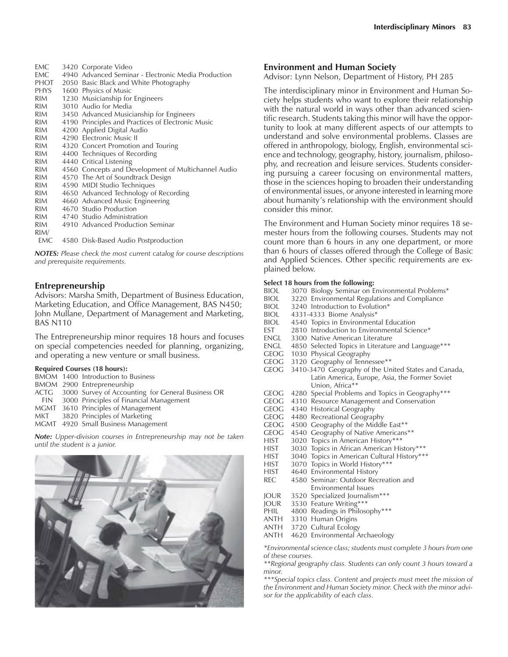| EMC          | 3420 Corporate Video                                |
|--------------|-----------------------------------------------------|
| EMC          | 4940 Advanced Seminar - Electronic Media Production |
| PHOT         | 2050 Basic Black and White Photography              |
| PHYS         | 1600 Physics of Music                               |
| RIM          | 1230 Musicianship for Engineers                     |
| RIM          | 3010 Audio for Media                                |
| RIM          | 3450 Advanced Musicianship for Engineers            |
| RIM          | 4190 Principles and Practices of Electronic Music   |
| RIM          | 4200 Applied Digital Audio                          |
| RIM <b>R</b> | 4290 Electronic Music II                            |
| RIM          | 4320 Concert Promotion and Touring                  |
| RIM.         | 4400 Techniques of Recording                        |
| RIM <b>R</b> | 4440 Critical Listening                             |
| RIM          | 4560 Concepts and Development of Multichannel Audio |
| RIM          | 4570 The Art of Soundtrack Design                   |
| RIM <b>R</b> | 4590 MIDI Studio Techniques                         |
| RIM          | 4650 Advanced Technology of Recording               |
| RIM          | 4660 Advanced Music Engineering                     |
| RIM          | 4670 Studio Production                              |
| RIM <b>R</b> | 4740 Studio Administration                          |
| RIM          | 4910 Advanced Production Seminar                    |
| RIM/         |                                                     |
| EMC          | 4580 Disk-Based Audio Postproduction                |

*NOTES: Please check the most current catalog for course descriptions and prerequisite requirements.*

# **Entrepreneurship**

Advisors: Marsha Smith, Department of Business Education, Marketing Education, and Office Management, BAS N450; John Mullane, Department of Management and Marketing, BAS N110

The Entrepreneurship minor requires 18 hours and focuses on special competencies needed for planning, organizing, and operating a new venture or small business.

#### **Required Courses (18 hours):**

|  | BMOM 1400 Introduction to Business                     |
|--|--------------------------------------------------------|
|  | BMOM 2900 Entrepreneurship                             |
|  | ACTG 3000 Survey of Accounting for General Business OR |
|  | FIN 3000 Principles of Financial Management            |
|  | MGMT 3610 Principles of Management                     |
|  | MKT 3820 Principles of Marketing                       |
|  | MGMT 4920 Small Business Management                    |
|  |                                                        |

*Note: Upper-division courses in Entrepreneurship may not be taken until the student is a junior.*



# **Environment and Human Society**

Advisor: Lynn Nelson, Department of History, PH 285

The interdisciplinary minor in Environment and Human Society helps students who want to explore their relationship with the natural world in ways other than advanced scientific research. Students taking this minor will have the opportunity to look at many different aspects of our attempts to understand and solve environmental problems. Classes are offered in anthropology, biology, English, environmental science and technology, geography, history, journalism, philosophy, and recreation and leisure services. Students considering pursuing a career focusing on environmental matters, those in the sciences hoping to broaden their understanding of environmental issues, or anyone interested in learning more about humanity's relationship with the environment should consider this minor.

The Environment and Human Society minor requires 18 semester hours from the following courses. Students may not count more than 6 hours in any one department, or more than 6 hours of classes offered through the College of Basic and Applied Sciences. Other specific requirements are explained below.

#### **Select 18 hours from the following:**

|             | <sub>.</sub>                                                                                                                                                                                                                      |
|-------------|-----------------------------------------------------------------------------------------------------------------------------------------------------------------------------------------------------------------------------------|
| BIOL        | 3070 Biology Seminar on Environmental Problems*                                                                                                                                                                                   |
| BIOL        | 3220 Environmental Regulations and Compliance                                                                                                                                                                                     |
| BIOL        | 3240 Introduction to Evolution*                                                                                                                                                                                                   |
| BIOL.       | 4331-4333 Biome Analysis*                                                                                                                                                                                                         |
| BIOL        | 4540 Topics in Environmental Education                                                                                                                                                                                            |
| EST         | 2810 Introduction to Environmental Science*                                                                                                                                                                                       |
| engl        | 3300 Native American Literature                                                                                                                                                                                                   |
| engl        | 4850 Selected Topics in Literature and Language***                                                                                                                                                                                |
| geog        | 1030 Physical Geography                                                                                                                                                                                                           |
| geog        | 3120 Geography of Tennessee**                                                                                                                                                                                                     |
| GEOG        | 3410-3470 Geography of the United States and Canada,                                                                                                                                                                              |
|             | Latin America, Europe, Asia, the Former Soviet                                                                                                                                                                                    |
|             | Union, Africa**                                                                                                                                                                                                                   |
| geog        | 4280 Special Problems and Topics in Geography***                                                                                                                                                                                  |
| geog        | 4310 Resource Management and Conservation                                                                                                                                                                                         |
| geog        | 4340 Historical Geography                                                                                                                                                                                                         |
| geog        | 4480 Recreational Geography                                                                                                                                                                                                       |
| GEOG        | 4500 Geography of the Middle East**                                                                                                                                                                                               |
| geog        | 4540 Geography of Native Americans**                                                                                                                                                                                              |
| HIST        | 3020 Topics in American History***                                                                                                                                                                                                |
| HIST        | 3030 Topics in African American History***                                                                                                                                                                                        |
| HIST        | 3040 Topics in American Cultural History ***                                                                                                                                                                                      |
| HIST        | 3070 Topics in World History***                                                                                                                                                                                                   |
| HIST        | 4640 Environmental History                                                                                                                                                                                                        |
| <b>REC</b>  | 4580 Seminar: Outdoor Recreation and                                                                                                                                                                                              |
|             | Environmental Issues                                                                                                                                                                                                              |
| JOUR        | 3520 Specialized Journalism***                                                                                                                                                                                                    |
| JOUR        | 3530 Feature Writing***                                                                                                                                                                                                           |
| PHIL        | 4800 Readings in Philosophy***                                                                                                                                                                                                    |
| anth        | 3310 Human Origins                                                                                                                                                                                                                |
| anth        | 3720 Cultural Ecology                                                                                                                                                                                                             |
| anth        | 4620 Environmental Archaeology                                                                                                                                                                                                    |
| $2.5 - 1.5$ | $\mathbf{r}$ , and the contract of the contract of the contract of the contract of the contract of the contract of the contract of the contract of the contract of the contract of the contract of the contract of the contract o |

*\*Environmental science class; students must complete 3 hours from one of these courses.*

*\*\*Regional geography class. Students can only count 3 hours toward a minor.*

*\*\*\*Special topics class. Content and projects must meet the mission of the Environment and Human Society minor. Check with the minor advisor for the applicability of each class.*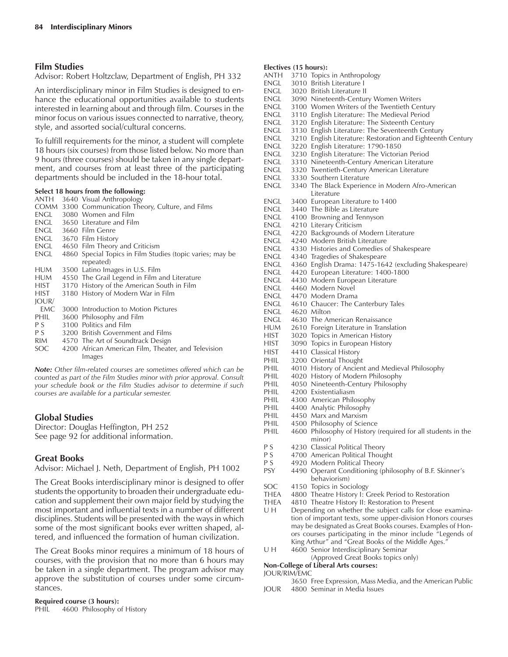# **Film Studies**

#### Advisor: Robert Holtzclaw, Department of English, PH 332

An interdisciplinary minor in Film Studies is designed to enhance the educational opportunities available to students interested in learning about and through film. Courses in the minor focus on various issues connected to narrative, theory, style, and assorted social/cultural concerns.

To fulfill requirements for the minor, a student will complete 18 hours (six courses) from those listed below. No more than 9 hours (three courses) should be taken in any single department, and courses from at least three of the participating departments should be included in the 18-hour total.

# **Select 18 hours from the following:**

| anth           | 3640 Visual Anthropology                                  |
|----------------|-----------------------------------------------------------|
|                | COMM 3300 Communication Theory, Culture, and Films        |
| ENGL           | 3080 Women and Film                                       |
| engl           | 3650 Literature and Film                                  |
|                | ENGL 3660 Film Genre                                      |
| engl           | 3670 Film History                                         |
| engl           | 4650 Film Theory and Criticism                            |
| engl           | 4860 Special Topics in Film Studies (topic varies; may be |
|                | repeated)                                                 |
| HUM            | 3500 Latino Images in U.S. Film                           |
| <b>HUM</b>     | 4550 The Grail Legend in Film and Literature              |
| <b>HIST</b>    | 3170 History of the American South in Film                |
| HIST           | 3180 History of Modern War in Film                        |
| IOUR/          |                                                           |
| EMC.           | 3000 Introduction to Motion Pictures                      |
| PHIL           | 3600 Philosophy and Film                                  |
| P S            | 3100 Politics and Film                                    |
| P S            | 3200 British Government and Films                         |
| RIM <b>RIM</b> | 4570 The Art of Soundtrack Design                         |
| SOC            | 4200 African American Film, Theater, and Television       |
|                | Images                                                    |

*Note: Other film-related courses are sometimes offered which can be counted as part of the Film Studies minor with prior approval. Consult your schedule book or the Film Studies advisor to determine if such courses are available for a particular semester.*

# **Global Studies**

Director: Douglas Heffington, PH 252 See page 92 for additional information.

# **Great Books**

Advisor: Michael J. Neth, Department of English, PH 1002

The Great Books interdisciplinary minor is designed to offer students the opportunity to broaden their undergraduate education and supplement their own major field by studying the most important and influential texts in a number of different disciplines. Students will be presented with the ways in which some of the most significant books ever written shaped, altered, and influenced the formation of human civilization.

The Great Books minor requires a minimum of 18 hours of courses, with the provision that no more than 6 hours may be taken in a single department. The program advisor may approve the substitution of courses under some circumstances.

# **Required course (3 hours):**<br>PHIL 4600 Philosophy c

4600 Philosophy of History

#### **Electives (15 hours):**

| anth         | 3710 Topics in Anthropology                                                          |
|--------------|--------------------------------------------------------------------------------------|
| engl         | 3010 British Literature I                                                            |
| engl         | 3020 British Literature II                                                           |
| engl         | 3090 Nineteenth-Century Women Writers                                                |
| engl         | 3100 Women Writers of the Twentieth Century                                          |
| engl         | 3110 English Literature: The Medieval Period                                         |
| engl         | 3120 English Literature: The Sixteenth Century                                       |
| engl         | 3130 English Literature: The Seventeenth Century                                     |
| engl         | 3210 English Literature: Restoration and Eighteenth Century                          |
| engl         | 3220 English Literature: 1790-1850                                                   |
| engl         | 3230 English Literature: The Victorian Period                                        |
| engl         | 3310 Nineteenth-Century American Literature                                          |
| engl         | 3320 Twentieth-Century American Literature                                           |
| engl         | 3330 Southern Literature                                                             |
| engl         | 3340 The Black Experience in Modern Afro-American<br>Literature                      |
| engl         | 3400 European Literature to 1400                                                     |
| engl         | 3440 The Bible as Literature                                                         |
| engl         | 4100 Browning and Tennyson                                                           |
| engl         | 4210 Literary Criticism                                                              |
| engl         | 4220 Backgrounds of Modern Literature                                                |
| engl         | 4240 Modern British Literature                                                       |
| engl         | 4330 Histories and Comedies of Shakespeare                                           |
| engl         | 4340 Tragedies of Shakespeare                                                        |
| engl         | 4360 English Drama: 1475-1642 (excluding Shakespeare)                                |
| engl         | 4420 European Literature: 1400-1800                                                  |
| engl         | 4430 Modern European Literature                                                      |
| engl         | 4460 Modern Novel                                                                    |
| engl         | 4470 Modern Drama                                                                    |
| engl         | 4610 Chaucer: The Canterbury Tales                                                   |
| engl         | 4620 Milton                                                                          |
| engl         | 4630 The American Renaissance                                                        |
| HUM<br>hist  | 2610 Foreign Literature in Translation                                               |
| hist         | 3020 Topics in American History<br>3090 Topics in European History                   |
|              |                                                                                      |
| hist         | 4410 Classical History                                                               |
| PHIL         | 3200 Oriental Thought                                                                |
| PHIL<br>PHIL | 4010 History of Ancient and Medieval Philosophy<br>4020 History of Modern Philosophy |
| PHIL         | 4050 Nineteenth-Century Philosophy                                                   |
| PHIL         | 4200 Existentialiasm                                                                 |
| PHIL         | 4300 American Philosophy                                                             |
| PHIL         | 4400 Analytic Philosophy                                                             |
| PHIL         | 4450 Marx and Marxism                                                                |
| PHIL         | 4500 Philosophy of Science                                                           |
| PHIL         | 4600 Philosophy of History (required for all students in the                         |
|              | minor)                                                                               |
| ΡS           | 4230 Classical Political Theory                                                      |
| ΡS           | 4700 American Political Thought                                                      |
| P S          | 4920 Modern Political Theory                                                         |
| PSY          | 4490 Operant Conditioning (philosophy of B.F. Skinner's                              |
|              | behaviorism)                                                                         |
| SOC          | 4150 Topics in Sociology                                                             |
| thea         | 4800 Theatre History I: Greek Period to Restoration                                  |
| THEA         | 4810 Theatre History II: Restoration to Present                                      |
|              |                                                                                      |

- U H Depending on whether the subject calls for close examination of important texts, some upper-division Honors courses may be designated as Great Books courses. Examples of Honors courses participating in the minor include "Legends of King Arthur" and "Great Books of the Middle Ages.
- U H 4600 Senior Interdisciplinary Seminar (Approved Great Books topics only)

# **Non-College of Liberal Arts courses:**

#### JOUR/RIM/EMC

- 3650 Free Expression, Mass Media, and the American Public JOUR 4800 Seminar in Media Issues
-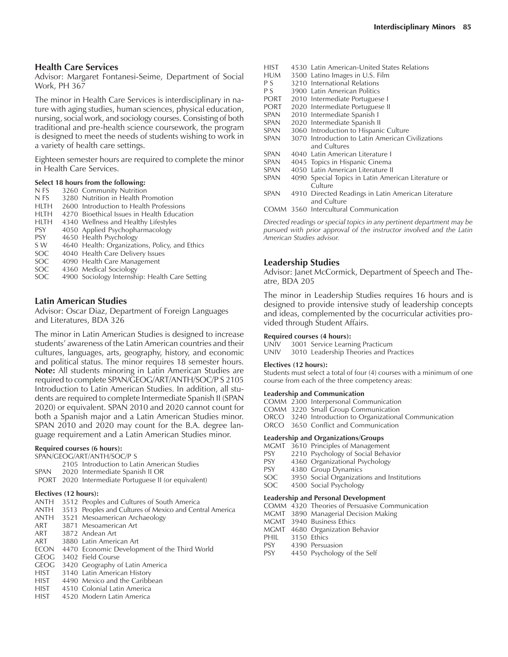Advisor: Margaret Fontanesi-Seime, Department of Social Work, PH 367

The minor in Health Care Services is interdisciplinary in nature with aging studies, human sciences, physical education, nursing, social work, and sociology courses. Consisting of both traditional and pre-health science coursework, the program is designed to meet the needs of students wishing to work in a variety of health care settings.

Eighteen semester hours are required to complete the minor in Health Care Services.

# **Select 18 hours from the following:**

- N FS 3260 Community Nutrition<br>N FS 3280 Nutrition in Health Pr
- 3280 Nutrition in Health Promotion
- HLTH 2600 Introduction to Health Professions
- HLTH 4270 Bioethical Issues in Health Education
- HLTH 4340 Wellness and Healthy Lifestyles PSY 4050 Applied Psychopharmacology
- 
- PSY 4650 Health Psychology<br>SW 4640 Health: Organization 4640 Health: Organizations, Policy, and Ethics
- 
- SOC 4040 Health Care Delivery Issues
- SOC 4090 Health Care Management<br>SOC 4360 Medical Sociology 4360 Medical Sociology
- SOC 4900 Sociology Internship: Health Care Setting

# **Latin American Studies**

Advisor: Oscar Diaz, Department of Foreign Languages and Literatures, BDA 326

The minor in Latin American Studies is designed to increase students' awareness of the Latin American countries and their cultures, languages, arts, geography, history, and economic and political status. The minor requires 18 semester hours. **Note:** All students minoring in Latin American Studies are required to complete SPAN/GEOG/ART/ANTH/SOC/P S 2105 Introduction to Latin American Studies. In addition, all students are required to complete Intermediate Spanish II (SPAN 2020) or equivalent. SPAN 2010 and 2020 cannot count for both a Spanish major and a Latin American Studies minor. SPAN 2010 and 2020 may count for the B.A. degree language requirement and a Latin American Studies minor.

#### **Required courses (6 hours):**

SPAN/GEOG/ART/ANTH/SOC/P S

- 2105 Introduction to Latin American Studies
- SPAN 2020 Intermediate Spanish II OR
- PORT 2020 Intermediate Portuguese II (or equivalent)

#### **Electives (12 hours):**

- ANTH 3512 Peoples and Cultures of South America
- ANTH 3513 Peoples and Cultures of Mexico and Central America
- ANTH 3521 Mesoamerican Archaeology
- 3871 Mesoamerican Art
- ART 3872 Andean Art
- ART 3880 Latin American Art
- ECON 4470 Economic Development of the Third World
- GEOG 3402 Field Course
- GEOG 3420 Geography of Latin America
- HIST 3140 Latin American History HIST 4490 Mexico and the Caribbean
- 
- HIST 4510 Colonial Latin America<br>HIST 4520 Modern Latin America
- 4520 Modern Latin America
- HIST 4530 Latin American-United States Relations<br>HUM 3500 Latino Images in U.S. Film 3500 Latino Images in U.S. Film P S 3210 International Relations<br>P S 3900 Latin American Politics 3900 Latin American Politics PORT 2010 Intermediate Portuguese I PORT 2020 Intermediate Portuguese II<br>SPAN 2010 Intermediate Spanish I SPAN 2010 Intermediate Spanish I<br>SPAN 2020 Intermediate Spanish II 2020 Intermediate Spanish II SPAN 3060 Introduction to Hispanic Culture<br>SPAN 3070 Introduction to Latin American C 3070 Introduction to Latin American Civilizations and Cultures SPAN 4040 Latin American Literature I<br>SPAN 4045 Topics in Hispanic Cinema 4045 Topics in Hispanic Cinema SPAN 4050 Latin American Literature II
- SPAN 4090 Special Topics in Latin American Literature or **Culture**
- SPAN 4910 Directed Readings in Latin American Literature and Culture
- COMM 3560 Intercultural Communication

*Directed readings or special topics in any pertinent department may be pursued with prior approval of the instructor involved and the Latin American Studies advisor.*

# **Leadership Studies**

Advisor: Janet McCormick, Department of Speech and Theatre, BDA 205

The minor in Leadership Studies requires 16 hours and is designed to provide intensive study of leadership concepts and ideas, complemented by the cocurricular activities provided through Student Affairs.

#### **Required courses (4 hours):**

UNIV 3001 Service Learning Practicum UNIV 3010 Leadership Theories and Practices

#### **Electives (12 hours):**

Students must select a total of four (4) courses with a minimum of one course from each of the three competency areas:

#### **Leadership and Communication**

COMM 2300 Interpersonal Communication

COMM 3220 Small Group Communication

- ORCO 3240 Introduction to Organizational Communication
- ORCO 3650 Conflict and Communication

#### **Leadership and Organizations/Groups**

- MGMT 3610 Principles of Management
- PSY 2210 Psychology of Social Behavior
- PSY 4360 Organizational Psychology<br>PSY 4380 Group Dynamics
- 4380 Group Dynamics
- SOC 3950 Social Organizations and Institutions SOC 4500 Social Psychology
- **Leadership and Personal Development**
- COMM 4320 Theories of Persuasive Communication
- MGMT 3890 Managerial Decision Making<br>MGMT 3940 Business Ethics
- 3940 Business Ethics
- MGMT 4680 Organization Behavior
- PHIL 3150 Ethics
- PSY 4390 Persuasion
- PSY 4450 Psychology of the Self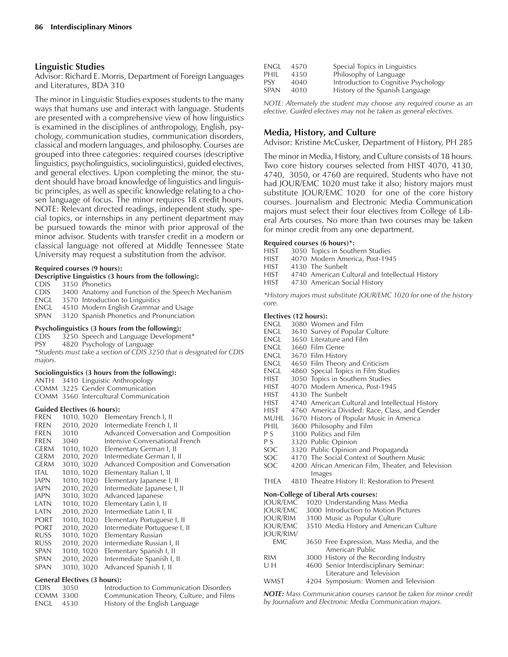# **Linguistic Studies**

Advisor: Richard E. Morris, Department of Foreign Languages and Literatures, BDA 310

The minor in Linguistic Studies exposes students to the many ways that humans use and interact with language. Students are presented with a comprehensive view of how linguistics is examined in the disciplines of anthropology, English, psychology, communication studies, communication disorders, classical and modern languages, and philosophy. Courses are grouped into three categories: required courses (descriptive linguistics, psycholinguistics, sociolinguistics), guided electives, and general electives. Upon completing the minor, the student should have broad knowledge of linguistics and linguistic principles, as well as specific knowledge relating to a chosen language of focus. The minor requires 18 credit hours. NOTE: Relevant directed readings, independent study, special topics, or internships in any pertinent department may be pursued towards the minor with prior approval of the minor advisor. Students with transfer credit in a modern or classical language not offered at Middle Tennessee State University may request a substitution from the advisor.

#### **Required courses (9 hours):**

#### **Descriptive Linguistics (3 hours from the following):**

- CDIS 3150 Phonetics
- CDIS 3400 Anatomy and Function of the Speech Mechanism
- ENGL 3570 Introduction to Linguistics
- ENGL 4510 Modern English Grammar and Usage
- SPAN 3120 Spanish Phonetics and Pronunciation

#### **Psycholinguistics (3 hours from the following):**

- CDIS 3250 Speech and Language Development\*
- PSY 4820 Psychology of Language

*\*Students must take a section of CDIS 3250 that is designated for CDIS majors.*

#### **Sociolinguistics (3 hours from the following):**

- ANTH 3410 Linguistic Anthropology
- COMM 3225 Gender Communication
- COMM 3560 Intercultural Communication

#### **Guided Electives (6 hours):**

| <b>FREN</b> | 1010, 1020 | Elementary French I, II               |
|-------------|------------|---------------------------------------|
| <b>FREN</b> | 2010, 2020 | Intermediate French I, II             |
| <b>FREN</b> | 3010       | Advanced Conversation and Composition |
| <b>FREN</b> | 3040       | Intensive Conversational French       |
| <b>GERM</b> | 1010, 1020 | Elementary German I, II               |
| <b>GERM</b> | 2010, 2020 | Intermediate German I, II             |
| <b>GERM</b> | 3010, 3020 | Advanced Composition and Conversation |
| ITAL        | 1010, 1020 | Elementary Italian I, II              |
| <b>JAPN</b> | 1010, 1020 | Elementary Japanese I, II             |
| JAPN        | 2010, 2020 | Intermediate Japanese I, II           |
| <b>JAPN</b> | 3010, 3020 | Advanced Japanese                     |
| LATN        | 1010, 1020 | Elementary Latin I, II                |
| LATN        | 2010, 2020 | Intermediate Latin I, II              |
| <b>PORT</b> | 1010, 1020 | Elementary Portuguese I, II           |
| <b>PORT</b> | 2010, 2020 | Intermediate Portuguese I, II         |
| <b>RUSS</b> | 1010, 1020 | Elementary Russian                    |
| RUSS.       | 2010, 2020 | Intermediate Russian I, II            |
| <b>SPAN</b> | 1010, 1020 | Elementary Spanish I, II              |
| <b>SPAN</b> | 2010, 2020 | Intermediate Spanish I, II            |
| SPAN        | 3010, 3020 | Advanced Spanish I, II                |
|             |            |                                       |

#### **General Electives (3 hours):**

| CDIS 3050        | Introduction to Communication Disorders  |
|------------------|------------------------------------------|
| COMM 3300        | Communication Theory, Culture, and Films |
| <b>ENGL</b> 4530 | History of the English Language          |

| engl | 4570 | Special Topics in Linguistics        |
|------|------|--------------------------------------|
| PHIL | 4350 | Philosophy of Language               |
| PSY  | 4040 | Introduction to Cognitive Psychology |
| SPAN | 4010 | History of the Spanish Language      |

*NOTE: Alternately the student may choose any required course as an elective. Guided electives may not be taken as general electives.*

#### **Media, History, and Culture**

Advisor: Kristine McCusker, Department of History, PH 285

The minor in Media, History, and Culture consists of 18 hours. Two core history courses selected from HIST 4070, 4130, 4740, 3050, or 4760 are required. Students who have not had JOUR/EMC 1020 must take it also; history majors must substitute JOUR/EMC 1020 for one of the core history courses. Journalism and Electronic Media Communication majors must select their four electives from College of Liberal Arts courses. No more than two courses may be taken for minor credit from any one department.

#### **Required courses (6 hours)\*:**

- HIST 3050 Topics in Southern Studies<br>HIST 3070 Modern America, Post-194
- 4070 Modern America, Post-1945
- HIST 4130 The Sunbelt
- HIST 4740 American Cultural and Intellectual History
- HIST 4730 American Social History

*\*History majors must substitute JOUR/EMC 1020 for one of the history core.*

#### **Electives (12 hours):**

| engl             |        | 3080 Women and Film                                  |
|------------------|--------|------------------------------------------------------|
| engl             |        | 3610 Survey of Popular Culture                       |
| engl             |        | 3650 Literature and Film                             |
| engl             |        | 3660 Film Genre                                      |
| engl             |        | 3670 Film History                                    |
| <b>ENGL</b>      |        | 4650 Film Theory and Criticism                       |
| engl             |        | 4860 Special Topics in Film Studies                  |
| HIST             |        | 3050 Topics in Southern Studies                      |
| HIST             |        | 4070 Modern America, Post-1945                       |
| HIST             |        | 4130 The Sunbelt                                     |
| HIST             |        | 4740 American Cultural and Intellectual History      |
| HIST             |        | 4760 America Divided: Race, Class, and Gender        |
| muhl             |        | 3670 History of Popular Music in America             |
| <b>PHIL</b>      |        | 3600 Philosophy and Film                             |
| P S              |        | 3100 Politics and Film                               |
| P S              |        | 3320 Public Opinion                                  |
| SOC              |        | 3320 Public Opinion and Propaganda                   |
| SOC              |        | 4170 The Social Context of Southern Music            |
| SOC              |        | 4200 African American Film, Theater, and Television  |
|                  | Images |                                                      |
|                  |        | THEA 4810 Theatre History II: Restoration to Present |
|                  |        | <b>Non-College of Liberal Arts courses:</b>          |
|                  |        | JOUR/EMC – 1020  Understanding Mass Media            |
| IOUR/EMC         |        | 3000 Introduction to Motion Pictures                 |
| jour/rim         |        | 3100 Music as Popular Culture                        |
| JOUR/EMC         |        | 3510 Media History and American Culture              |
| <b>JOUR/RIM/</b> |        |                                                      |
| EMC              |        | 3650 Free Expression, Mass Media, and the            |
|                  |        | American Public                                      |
| RIM              |        | 3000 History of the Recording Industry               |
| UΗ               |        | 4600 Senior Interdisciplinary Seminar:               |
|                  |        | Literature and Television                            |

WMST 4204 Symposium: Women and Television

*NOTE: Mass Communication courses cannot be taken for minor credit by Journalism and Electronic Media Communication majors.*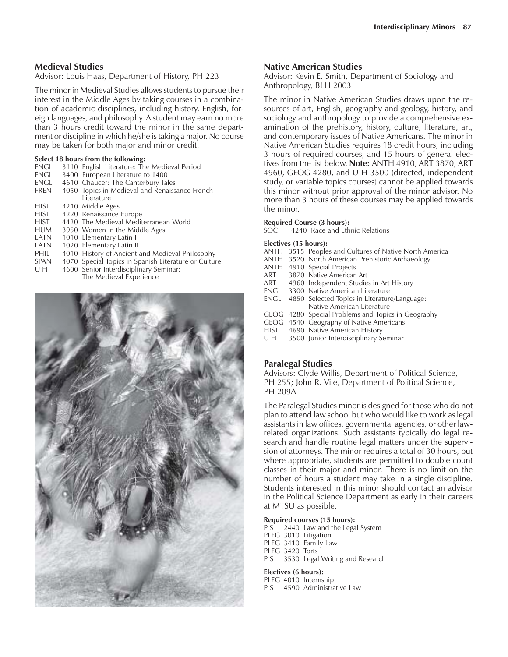# **Medieval Studies**

Advisor: Louis Haas, Department of History, PH 223

The minor in Medieval Studies allows students to pursue their interest in the Middle Ages by taking courses in a combination of academic disciplines, including history, English, foreign languages, and philosophy. A student may earn no more than 3 hours credit toward the minor in the same department or discipline in which he/she is taking a major. No course may be taken for both major and minor credit.

# **Select 18 hours from the following:**

- ENGL 3110 English Literature: The Medieval Period
- ENGL 3400 European Literature to 1400<br>ENGL 4610 Chaucer: The Canterbury Tal
- ENGL 4610 Chaucer: The Canterbury Tales<br>FREN 4050 Topics in Medieval and Renaiss
- 4050 Topics in Medieval and Renaissance French Literature
- HIST 4210 Middle Ages
- HIST 4220 Renaissance Europe<br>HIST 4420 The Medieval Medit
- 4420 The Medieval Mediterranean World
- HUM 3950 Women in the Middle Ages
- LATN 1010 Elementary Latin I<br>LATN 1020 Elementary Latin II
- 1020 Elementary Latin II
- PHIL 4010 History of Ancient and Medieval Philosophy<br>SPAN 4070 Special Topics in Spanish Literature or Cultur
- SPAN 4070 Special Topics in Spanish Literature or Culture<br>U H 4600 Senior Interdisciplinary Seminar:

4600 Senior Interdisciplinary Seminar: The Medieval Experience



#### **Native American Studies**

Advisor: Kevin E. Smith, Department of Sociology and Anthropology, BLH 2003

The minor in Native American Studies draws upon the resources of art, English, geography and geology, history, and sociology and anthropology to provide a comprehensive examination of the prehistory, history, culture, literature, art, and contemporary issues of Native Americans. The minor in Native American Studies requires 18 credit hours, including 3 hours of required courses, and 15 hours of general electives from the list below. **Note:** ANTH 4910, ART 3870, ART 4960, GEOG 4280, and U H 3500 (directed, independent study, or variable topics courses) cannot be applied towards this minor without prior approval of the minor advisor. No more than 3 hours of these courses may be applied towards the minor.

# **Required Course (3 hours):**<br>SOC 4240 Race and Eth

4240 Race and Ethnic Relations

#### **Electives (15 hours):**

- ANTH 3515 Peoples and Cultures of Native North America
- ANTH 3520 North American Prehistoric Archaeology
- ANTH 4910 Special Projects
- ART 3870 Native American Art<br>ART 4960 Independent Studie
- 4960 Independent Studies in Art History
- ENGL 3300 Native American Literature ENGL 4850 Selected Topics in Literature/Language:
- Native American Literature
- GEOG 4280 Special Problems and Topics in Geography
- GEOG 4540 Geography of Native Americans
- HIST 4690 Native American History<br>U H 3500 Junior Interdisciplinary S
- 3500 Junior Interdisciplinary Seminar

# **Paralegal Studies**

Advisors: Clyde Willis, Department of Political Science, PH 255; John R. Vile, Department of Political Science, PH 209A

The Paralegal Studies minor is designed for those who do not plan to attend law school but who would like to work as legal assistants in law offices, governmental agencies, or other lawrelated organizations. Such assistants typically do legal research and handle routine legal matters under the supervision of attorneys. The minor requires a total of 30 hours, but where appropriate, students are permitted to double count classes in their major and minor. There is no limit on the number of hours a student may take in a single discipline. Students interested in this minor should contact an advisor in the Political Science Department as early in their careers at MTSU as possible.

#### **Required courses (15 hours):**

P S 2440 Law and the Legal System PLEG 3010 Litigation PLEG 3410 Family Law PLEG 3420 Torts P S 3530 Legal Writing and Research

#### **Electives (6 hours):**

PLEG 4010 Internship P S 4590 Administrative Law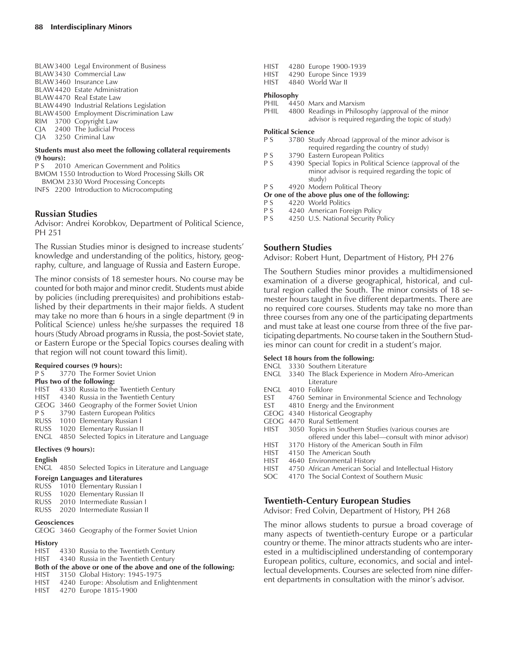BLAW3400 Legal Environment of Business BLAW3430 Commercial Law BLAW3460 Insurance Law BLAW4420 Estate Administration BLAW4470 Real Estate Law BLAW4490 Industrial Relations Legislation BLAW4500 Employment Discrimination Law RIM 3700 Copyright Law CJA 2400 The Judicial Process CJA 3250 Criminal Law

#### **Students must also meet the following collateral requirements (9 hours):**

P S 2010 American Government and Politics

- BMOM 1550 Introduction to Word Processing Skills OR BMOM 2330 Word Processing Concepts
- INFS 2200 Introduction to Microcomputing

# **Russian Studies**

Advisor: Andrei Korobkov, Department of Political Science, PH 251

The Russian Studies minor is designed to increase students' knowledge and understanding of the politics, history, geography, culture, and language of Russia and Eastern Europe.

The minor consists of 18 semester hours. No course may be counted for both major and minor credit. Students must abide by policies (including prerequisites) and prohibitions established by their departments in their major fields. A student may take no more than 6 hours in a single department (9 in Political Science) unless he/she surpasses the required 18 hours (Study Abroad programs in Russia, the post-Soviet state, or Eastern Europe or the Special Topics courses dealing with that region will not count toward this limit).

#### **Required courses (9 hours):**

P S 3770 The Former Soviet Union

#### **Plus two of the following:**

- HIST 4330 Russia to the Twentieth Century
- HIST 4340 Russia in the Twentieth Century
- GEOG 3460 Geography of the Former Soviet Union
- P S 3790 Eastern European Politics<br>RUSS 1010 Elementary Russian I
- 1010 Elementary Russian I
- RUSS 1020 Elementary Russian II ENGL 4850 Selected Topics in Literature and Language

# **Electives (9 hours):**

# **English**

ENGL 4850 Selected Topics in Literature and Language

# **Foreign Languages and Literatures**

- RUSS 1010 Elementary Russian I
- RUSS 1020 Elementary Russian II<br>RUSS 2010 Intermediate Russian
- 2010 Intermediate Russian I
- RUSS 2020 Intermediate Russian II

# **Geosciences**

GEOG 3460 Geography of the Former Soviet Union

# **History**

- HIST 4330 Russia to the Twentieth Century
- HIST 4340 Russia in the Twentieth Century

```
Both of the above or one of the above and one of the following:
```
- HIST 3150 Global History: 1945-1975<br>HIST 4240 Europe: Absolutism and Enl
- 4240 Europe: Absolutism and Enlightenment HIST 4270 Europe 1815-1900
- HIST 4280 Europe 1900-1939 HIST 4290 Europe Since 1939
- HIST 4840 World War II

#### **Philosophy**

- PHIL 4450 Marx and Marxism
- PHIL 4800 Readings in Philosophy (approval of the minor advisor is required regarding the topic of study)

# **Political Science**

- P S 3780 Study Abroad (approval of the minor advisor is required regarding the country of study)
- P S 3790 Eastern European Politics<br>P S 4390 Special Topics in Political
- 4390 Special Topics in Political Science (approval of the minor advisor is required regarding the topic of study)
- P S 4920 Modern Political Theory

#### **Or one of the above plus one of the following:**

- P S 4220 World Politics<br>P S 4240 American Fore
- P S 4240 American Foreign Policy<br>P S 4250 U.S. National Security Po
- 4250 U.S. National Security Policy

# **Southern Studies**

Advisor: Robert Hunt, Department of History, PH 276

The Southern Studies minor provides a multidimensioned examination of a diverse geographical, historical, and cultural region called the South. The minor consists of 18 semester hours taught in five different departments. There are no required core courses. Students may take no more than three courses from any one of the participating departments and must take at least one course from three of the five participating departments. No course taken in the Southern Studies minor can count for credit in a student's major.

#### **Select 18 hours from the following:**

- ENGL 3330 Southern Literature
- ENGL 3340 The Black Experience in Modern Afro-American Literature
- ENGL 4010 Folklore
- EST 4760 Seminar in Environmental Science and Technology
- EST 4810 Energy and the Environment
- GEOG 4340 Historical Geography
- GEOG 4470 Rural Settlement
- HIST 3050 Topics in Southern Studies (various courses are offered under this label—consult with minor advisor)
- HIST 3170 History of the American South in Film
- HIST 4150 The American South<br>HIST 4640 Environmental Histor
- 4640 Environmental History
- HIST 4750 African American Social and Intellectual History
- SOC 4170 The Social Context of Southern Music

# **Twentieth-Century European Studies**

Advisor: Fred Colvin, Department of History, PH 268

The minor allows students to pursue a broad coverage of many aspects of twentieth-century Europe or a particular country or theme. The minor attracts students who are interested in a multidisciplined understanding of contemporary European politics, culture, economics, and social and intellectual developments. Courses are selected from nine different departments in consultation with the minor's advisor.